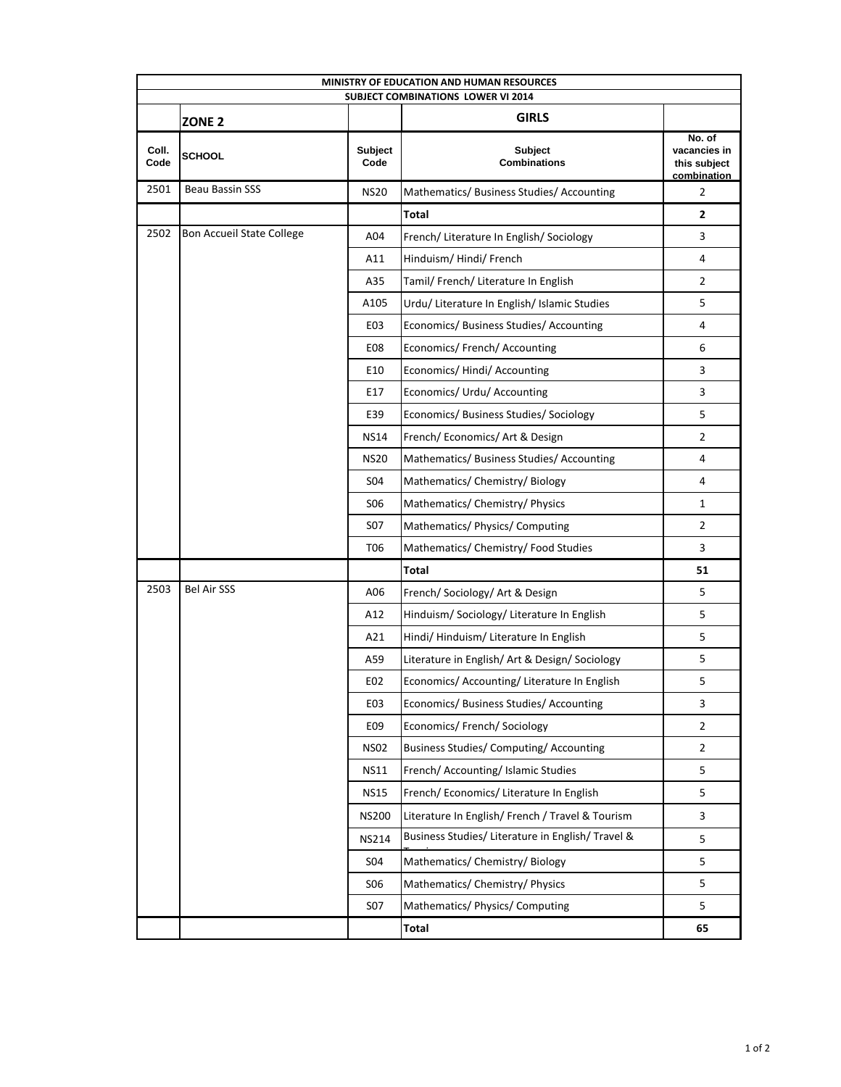| <b>MINISTRY OF EDUCATION AND HUMAN RESOURCES</b><br><b>SUBJECT COMBINATIONS LOWER VI 2014</b> |                                  |                        |                                                  |                                                       |  |
|-----------------------------------------------------------------------------------------------|----------------------------------|------------------------|--------------------------------------------------|-------------------------------------------------------|--|
|                                                                                               | ZONE <sub>2</sub>                |                        | <b>GIRLS</b>                                     |                                                       |  |
| Coll.<br>Code                                                                                 | <b>SCHOOL</b>                    | <b>Subject</b><br>Code | <b>Subject</b><br><b>Combinations</b>            | No. of<br>vacancies in<br>this subject<br>combination |  |
| 2501                                                                                          | Beau Bassin SSS                  | <b>NS20</b>            | Mathematics/ Business Studies/ Accounting        | $\overline{2}$                                        |  |
|                                                                                               |                                  |                        | Total                                            | $\mathbf{2}$                                          |  |
| 2502                                                                                          | <b>Bon Accueil State College</b> | A04                    | French/ Literature In English/ Sociology         | 3                                                     |  |
|                                                                                               |                                  | A11                    | Hinduism/Hindi/French                            | 4                                                     |  |
|                                                                                               |                                  | A35                    | Tamil/ French/ Literature In English             | $\overline{2}$                                        |  |
|                                                                                               |                                  | A105                   | Urdu/ Literature In English/ Islamic Studies     | 5                                                     |  |
|                                                                                               |                                  | E <sub>03</sub>        | Economics/ Business Studies/ Accounting          | 4                                                     |  |
|                                                                                               |                                  | <b>E08</b>             | Economics/ French/ Accounting                    | 6                                                     |  |
|                                                                                               |                                  | E10                    | Economics/Hindi/Accounting                       | 3                                                     |  |
|                                                                                               |                                  | E17                    | Economics/ Urdu/ Accounting                      | 3                                                     |  |
|                                                                                               |                                  | E39                    | Economics/ Business Studies/ Sociology           | 5                                                     |  |
|                                                                                               |                                  | <b>NS14</b>            | French/Economics/Art & Design                    | $\overline{2}$                                        |  |
|                                                                                               |                                  | <b>NS20</b>            | Mathematics/Business Studies/Accounting          | 4                                                     |  |
|                                                                                               |                                  | S04                    | Mathematics/ Chemistry/ Biology                  | 4                                                     |  |
|                                                                                               |                                  | <b>SO6</b>             | Mathematics/ Chemistry/ Physics                  | 1                                                     |  |
|                                                                                               |                                  | <b>S07</b>             | Mathematics/ Physics/ Computing                  | $\overline{2}$                                        |  |
|                                                                                               |                                  | T <sub>06</sub>        | Mathematics/ Chemistry/ Food Studies             | 3                                                     |  |
|                                                                                               |                                  |                        | <b>Total</b>                                     | 51                                                    |  |
| 2503                                                                                          | <b>Bel Air SSS</b>               | A06                    | French/Sociology/Art & Design                    | 5                                                     |  |
|                                                                                               |                                  | A12                    | Hinduism/ Sociology/ Literature In English       | 5                                                     |  |
|                                                                                               |                                  | A21                    | Hindi/Hinduism/Literature In English             | 5                                                     |  |
|                                                                                               |                                  | A59                    | Literature in English/ Art & Design/ Sociology   | 5                                                     |  |
|                                                                                               |                                  | E02                    | Economics/ Accounting/ Literature In English     | 5                                                     |  |
|                                                                                               |                                  | E03                    | Economics/ Business Studies/ Accounting          | 3                                                     |  |
|                                                                                               |                                  | E09                    | Economics/ French/ Sociology                     | $\overline{2}$                                        |  |
|                                                                                               |                                  | <b>NS02</b>            | <b>Business Studies/ Computing/ Accounting</b>   | $\overline{2}$                                        |  |
|                                                                                               |                                  | <b>NS11</b>            | French/ Accounting/ Islamic Studies              | 5                                                     |  |
|                                                                                               |                                  | <b>NS15</b>            | French/Economics/Literature In English           | 5                                                     |  |
|                                                                                               |                                  | <b>NS200</b>           | Literature In English/ French / Travel & Tourism | 3                                                     |  |
|                                                                                               |                                  | <b>NS214</b>           | Business Studies/ Literature in English/Travel & | 5                                                     |  |
|                                                                                               |                                  | <b>S04</b>             | Mathematics/ Chemistry/ Biology                  | 5                                                     |  |
|                                                                                               |                                  | <b>SO6</b>             | Mathematics/ Chemistry/ Physics                  | 5                                                     |  |
|                                                                                               |                                  | S07                    | Mathematics/ Physics/ Computing                  | 5                                                     |  |
|                                                                                               |                                  |                        | Total                                            | 65                                                    |  |